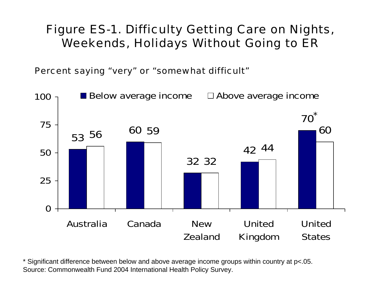# Figure ES-1. Difficulty Getting Care on Nights, Weekends, Holidays Without Going to ER

Percent saying "very" or "somewhat difficult"

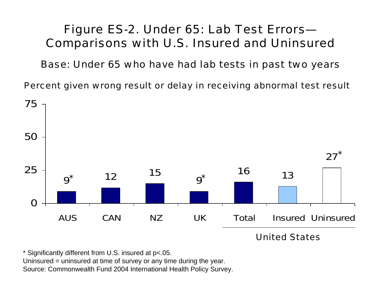# Figure ES-2. Under 65: Lab Test Errors— Comparisons with U.S. Insured and Uninsured

Base: Under 65 who have had lab tests in past two years

Percent given wrong result or delay in receiving abnormal test result



United States

\* Significantly different from U.S. insured at p<.05.

Uninsured = uninsured at time of survey or any time during the year.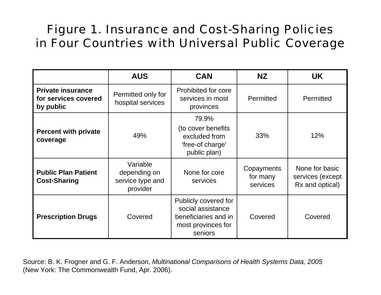# Figure 1. Insurance and Cost-Sharing Policies in Four Countries with Universal Public Coverage

|                                                               | <b>AUS</b>                                               | <b>CAN</b>                                                                                         | <b>NZ</b>                          | <b>UK</b>                                             |
|---------------------------------------------------------------|----------------------------------------------------------|----------------------------------------------------------------------------------------------------|------------------------------------|-------------------------------------------------------|
| <b>Private insurance</b><br>for services covered<br>by public | Permitted only for<br>hospital services                  | Prohibited for core<br>services in most<br>provinces                                               | Permitted                          | Permitted                                             |
| <b>Percent with private</b><br>coverage                       | 49%                                                      | 79.9%<br>(to cover benefits<br>excluded from<br>'free-of charge'<br>public plan)                   | 33%                                | 12%                                                   |
| <b>Public Plan Patient</b><br><b>Cost-Sharing</b>             | Variable<br>depending on<br>service type and<br>provider | None for core<br>services                                                                          | Copayments<br>for many<br>services | None for basic<br>services (except<br>Rx and optical) |
| <b>Prescription Drugs</b>                                     | Covered                                                  | Publicly covered for<br>social assistance<br>beneficiaries and in<br>most provinces for<br>seniors | Covered                            | Covered                                               |

Source: B. K. Frogner and G. F. Anderson, *Multinational Comparisons of Health Systems Data, 2005* (New York: The Commonwealth Fund, Apr. 2006).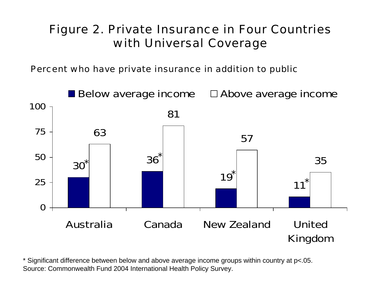# Figure 2. Private Insurance in Four Countries with Universal Coverage

Percent who have private insurance in addition to public

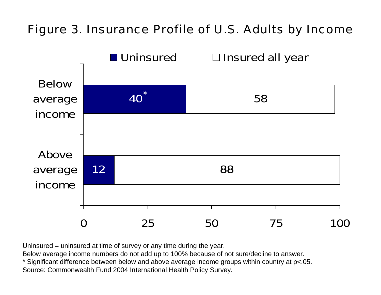#### Figure 3. Insurance Profile of U.S. Adults by Income



Uninsured = uninsured at time of survey or any time during the year.

Below average income numbers do not add up to 100% because of not sure/decline to answer.

\* Significant difference between below and above average income groups within country at p<.05.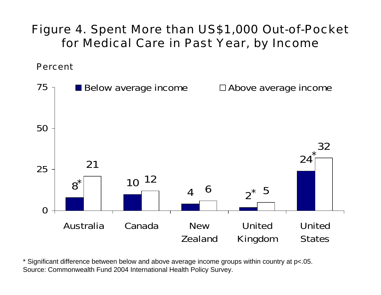Figure 4. Spent More than US\$1,000 Out-of-Pocket for Medical Care in Past Year, by Income

Percent

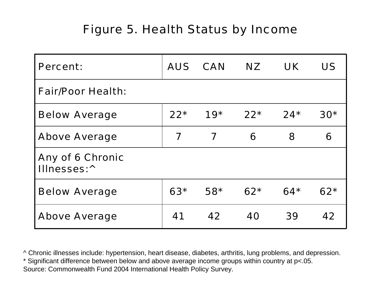# Figure 5. Health Status by Income

| <b>Percent:</b>                             |       | AUS CAN | NZ.   | UK.   | <b>US</b> |
|---------------------------------------------|-------|---------|-------|-------|-----------|
| <b>Fair/Poor Health:</b>                    |       |         |       |       |           |
| <b>Below Average</b>                        | $22*$ | $19*$   | $22*$ | $24*$ | $30*$     |
| <b>Above Average</b>                        | 7     | 7       | 6     | 8     | 6         |
| Any of 6 Chronic<br>Illnesses: <sup>^</sup> |       |         |       |       |           |
| <b>Below Average</b>                        | $63*$ | $58*$   | $62*$ | $64*$ | $62*$     |
| <b>Above Average</b>                        | 41    | 42      | 40    | 39    | 42        |

^ Chronic illnesses include: hypertension, heart disease, diabetes, arthritis, lung problems, and depression.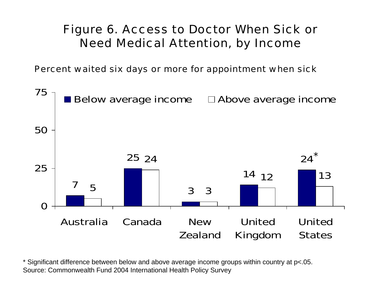# Figure 6. Access to Doctor When Sick or Need Medical Attention, by Income

Percent waited six days or more for appointment when sick

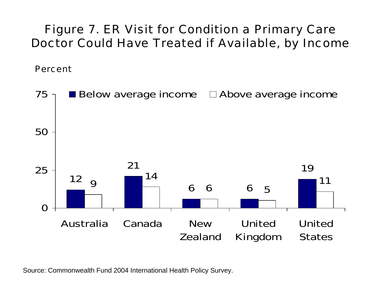# Figure 7. ER Visit for Condition a Primary Care Doctor Could Have Treated if Available, by Income

Percent

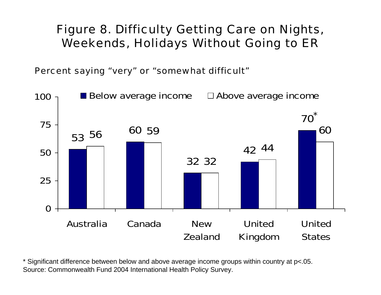# Figure 8. Difficulty Getting Care on Nights, Weekends, Holidays Without Going to ER

Percent saying "very" or "somewhat difficult"

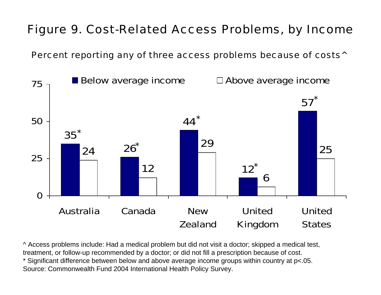# Figure 9. Cost-Related Access Problems, by Income

Percent reporting any of three access problems because of costs^



^ Access problems include: Had a medical problem but did not visit a doctor; skipped a medical test, treatment, or follow-up recommended by a doctor; or did not fill a prescription because of cost. \* Significant difference between below and above average income groups within country at p<.05. Source: Commonwealth Fund 2004 International Health Policy Survey.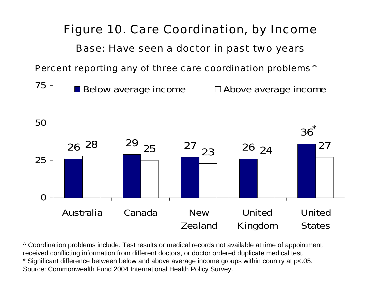#### Figure 10. Care Coordination, by Income

#### Base: Have seen a doctor in past two years

Percent reporting any of three care coordination problems<sup>^</sup>



^ Coordination problems include: Test results or medical records not available at time of appointment, received conflicting information from different doctors, or doctor ordered duplicate medical test. \* Significant difference between below and above average income groups within country at p<.05.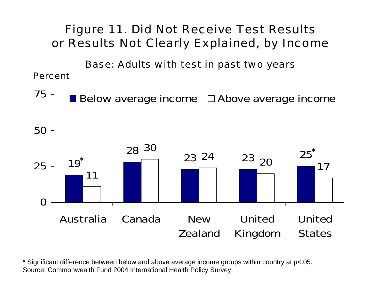# Figure 11. Did Not Receive Test Results or Results Not Clearly Explained, by Income

Base: Adults with test in past two years

Percent

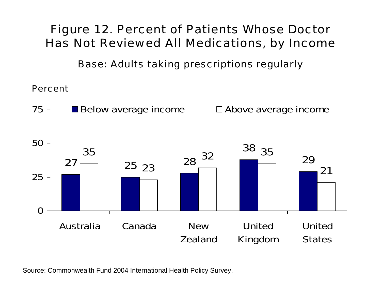### Figure 12. Percent of Patients Whose Doctor Has Not Reviewed All Medications, by Income

Base: Adults taking prescriptions regularly

Percent

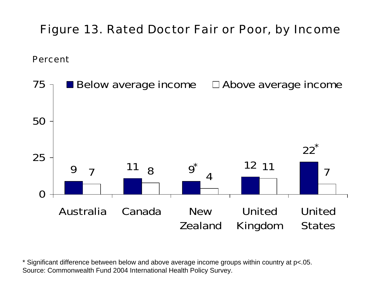#### Figure 13. Rated Doctor Fair or Poor, by Income

Percent

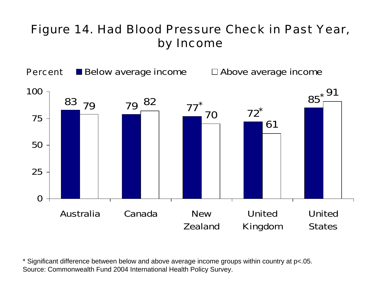# Figure 14. Had Blood Pressure Check in Past Year, by Income

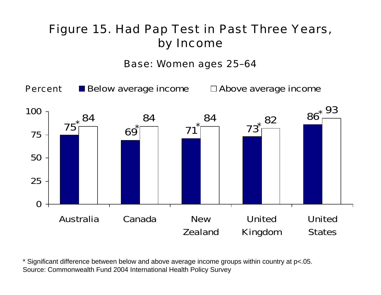# Figure 15. Had Pap Test in Past Three Years, by Income

Base: Women ages 25–64

Percent

 $\blacksquare$  Below average income  $\blacksquare$  Above average income

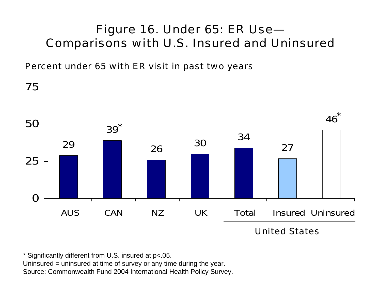# Figure 16. Under 65: ER Use— Comparisons with U.S. Insured and Uninsured

Percent under 65 with ER visit in past two years



\* Significantly different from U.S. insured at p<.05. Uninsured = uninsured at time of survey or any time during the year. Source: Commonwealth Fund 2004 International Health Policy Survey.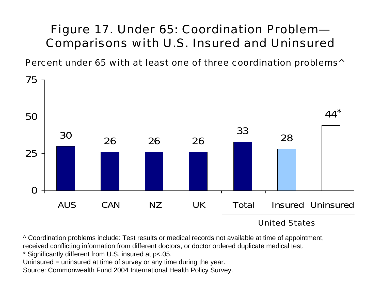# Figure 17. Under 65: Coordination Problem— Comparisons with U.S. Insured and Uninsured

Percent under 65 with at least one of three coordination problems^



#### United States

^ Coordination problems include: Test results or medical records not available at time of appointment, received conflicting information from different doctors, or doctor ordered duplicate medical test.

\* Significantly different from U.S. insured at p<.05.

Uninsured = uninsured at time of survey or any time during the year.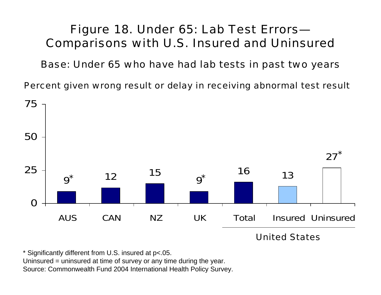# Figure 18. Under 65: Lab Test Errors— Comparisons with U.S. Insured and Uninsured

Base: Under 65 who have had lab tests in past two years

Percent given wrong result or delay in receiving abnormal test result



United States

\* Significantly different from U.S. insured at p<.05.

Uninsured = uninsured at time of survey or any time during the year.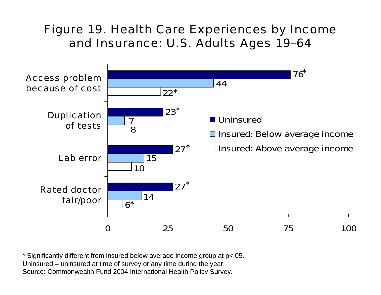# Figure 19. Health Care Experiences by Income and Insurance: U.S. Adults Ages 19–64



\* Significantly different from insured below average income group at p<.05. Uninsured = uninsured at time of survey or any time during the year. Source: Commonwealth Fund 2004 International Health Policy Survey.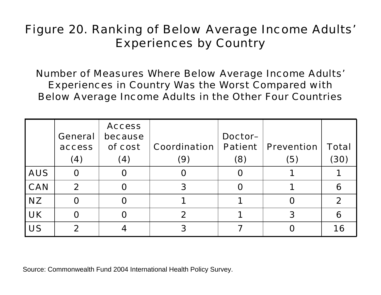# Figure 20. Ranking of Below Average Income Adults' Experiences by Country

Number of Measures Where Below Average Income Adults' Experiences in Country Was the Worst Compared with Below Average Income Adults in the Other Four Countries

|            | <b>General</b><br>access<br>(4) | <b>Access</b><br>because<br>of cost<br>(4) | Coordination<br>(9) | Doctor-<br><b>Patient</b><br>(8) | <b>Prevention</b><br>(5) | <b>Total</b><br>(30) |
|------------|---------------------------------|--------------------------------------------|---------------------|----------------------------------|--------------------------|----------------------|
| <b>AUS</b> | O                               | O                                          |                     | O                                |                          |                      |
| <b>CAN</b> | $\mathbf 2$                     | O                                          |                     | Ω                                |                          | 6                    |
| <b>NZ</b>  | O                               | Õ                                          |                     |                                  |                          | $\mathbf 2$          |
| <b>UK</b>  | O                               | O                                          |                     |                                  | 3                        | 6                    |
| <b>US</b>  | 2                               |                                            |                     |                                  |                          | 16                   |